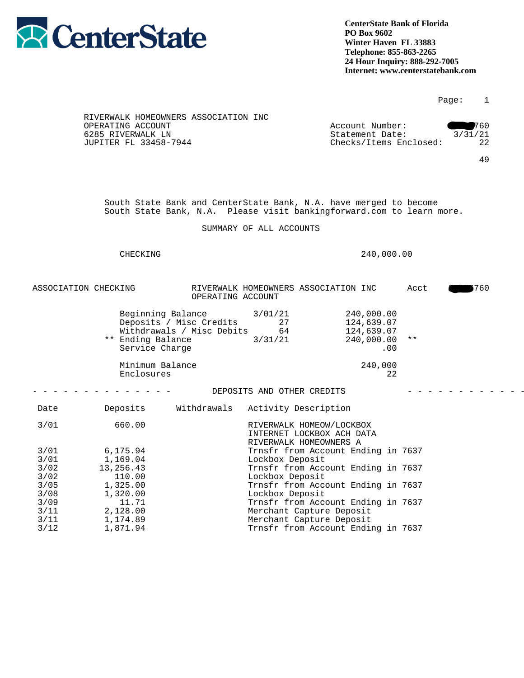

## Page: 1

| RIVERWALK HOMEOWNERS ASSOCIATION INC |                        |         |
|--------------------------------------|------------------------|---------|
| OPERATING ACCOUNT                    | Account Number:        | 760     |
| 6285 RIVERWALK LN                    | Statement Date:        | 3/31/21 |
| JUPITER FL 33458-7944                | Checks/Items Enclosed: | 22      |
|                                      |                        |         |

49

 South State Bank and CenterState Bank, N.A. have merged to become South State Bank, N.A. Please visit bankingforward.com to learn more.

SUMMARY OF ALL ACCOUNTS

## CHECKING 240,000.00

ASSOCIATION CHECKING RIVERWALK HOMEOWNERS ASSOCIATION INC Acct 203760 OPERATING ACCOUNT

| Beginning Balance<br>Deposits / Misc Credits<br>Withdrawals / Misc Debits<br>** Ending Balance<br>Service Charge | 3/01/21<br>27<br>64<br>3/31/21 | 240,000.00<br>124,639.07<br>124,639.07<br>240,000.00<br>.00 | $\star\star$ |
|------------------------------------------------------------------------------------------------------------------|--------------------------------|-------------------------------------------------------------|--------------|
| Minimum Balance<br>Enclosures                                                                                    |                                | 240,000<br>22                                               |              |

## - - - - - - - - - - - - - - DEPOSITS AND OTHER CREDITS - - - - - - - - - - - - -

| Date | Deposits  | Withdrawals | Activity Description               |  |
|------|-----------|-------------|------------------------------------|--|
| 3/01 | 660.00    |             | RIVERWALK HOMEOW/LOCKBOX           |  |
|      |           |             | INTERNET LOCKBOX ACH DATA          |  |
|      |           |             | RIVERWALK HOMEOWNERS A             |  |
| 3/01 | 6,175.94  |             | Trnsfr from Account Ending in 7637 |  |
| 3/01 | 1,169.04  |             | Lockbox Deposit                    |  |
| 3/02 | 13,256.43 |             | Trnsfr from Account Ending in 7637 |  |
| 3/02 | 110.00    |             | Lockbox Deposit                    |  |
| 3/05 | 1,325.00  |             | Trnsfr from Account Ending in 7637 |  |
| 3/08 | 1,320.00  |             | Lockbox Deposit                    |  |
| 3/09 | 11.71     |             | Trnsfr from Account Ending in 7637 |  |
| 3/11 | 2,128.00  |             | Merchant Capture Deposit           |  |
| 3/11 | 1,174.89  |             | Merchant Capture Deposit           |  |
| 3/12 | 1,871.94  |             | Trnsfr from Account Ending in 7637 |  |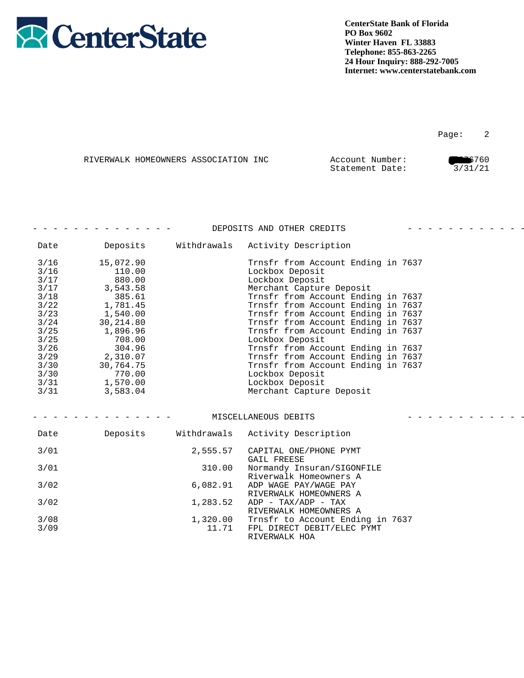

|  | RIVERWALK HOMEOWNERS ASSOCIATION INC | Account Number: | 6760    |
|--|--------------------------------------|-----------------|---------|
|  |                                      | Statement Date: | 3/31/21 |

|        |            |             | DEPOSITS AND OTHER CREDITS         |  |
|--------|------------|-------------|------------------------------------|--|
| Date   | Deposits   | Withdrawals | Activity Description               |  |
| $3/16$ | 15,072.90  |             | Trnsfr from Account Ending in 7637 |  |
| $3/16$ | 110.00     |             | Lockbox Deposit                    |  |
| $3/17$ | 880.00     |             | Lockbox Deposit                    |  |
| 3/17   | 3,543.58   |             | Merchant Capture Deposit           |  |
| $3/18$ | 385.61     |             | Trnsfr from Account Ending in 7637 |  |
| 3/22   | 1,781.45   |             | Trnsfr from Account Ending in 7637 |  |
| 3/23   | 1,540.00   |             | Trnsfr from Account Ending in 7637 |  |
| 3/24   | 30, 214.80 |             | Trnsfr from Account Ending in 7637 |  |
| $3/25$ | 1,896.96   |             | Trnsfr from Account Ending in 7637 |  |
| $3/25$ | 708.00     |             | Lockbox Deposit                    |  |
| 3/26   | 304.96     |             | Trnsfr from Account Ending in 7637 |  |
| 3/29   | 2,310.07   |             | Trnsfr from Account Ending in 7637 |  |
| 3/30   | 30,764.75  |             | Trnsfr from Account Ending in 7637 |  |
| 3/30   | 770.00     |             | Lockbox Deposit                    |  |
| 3/31   | 1,570.00   |             | Lockbox Deposit                    |  |
| 3/31   | 3,583.04   |             | Merchant Capture Deposit           |  |
|        |            |             |                                    |  |
|        |            |             |                                    |  |
|        |            |             | MISCELLANEOUS DEBITS               |  |
| Date   | Deposits   | Withdrawals | Activity Description               |  |
| 3/01   |            | 2,555.57    | CAPITAL ONE/PHONE PYMT             |  |
|        |            |             | <b>GAIL FREESE</b>                 |  |
| 3/01   |            | 310.00      | Normandy Insuran/SIGONFILE         |  |
|        |            |             | Riverwalk Homeowners A             |  |
| 3/02   |            | 6,082.91    | ADP WAGE PAY/WAGE PAY              |  |
|        |            |             | RIVERWALK HOMEOWNERS A             |  |
| 3/02   |            | 1,283.52    | $ADP - TAX/ADP - TAX$              |  |
|        |            |             | RIVERWALK HOMEOWNERS A             |  |
| 3/08   |            | 1,320.00    | Trnsfr to Account Ending in 7637   |  |
| 3/09   |            | 11.71       | FPL DIRECT DEBIT/ELEC PYMT         |  |
|        |            |             | RIVERWALK HOA                      |  |
|        |            |             |                                    |  |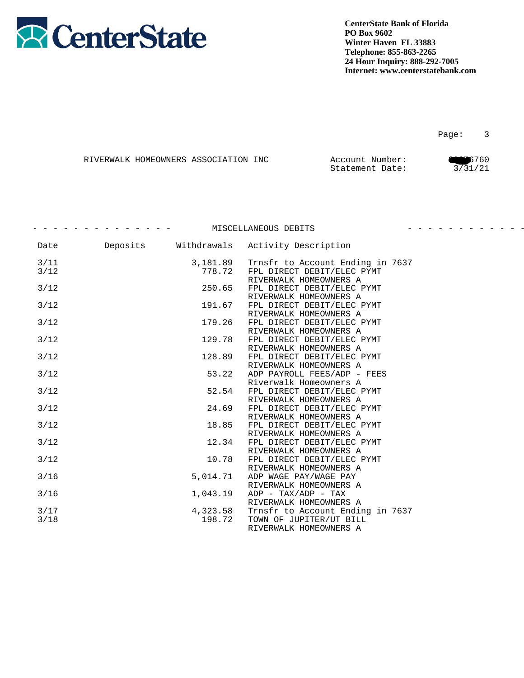

|  | RIVERWALK HOMEOWNERS ASSOCIATION INC | Account Number: | 6760    |
|--|--------------------------------------|-----------------|---------|
|  |                                      | Statement Date: | 3/31/21 |

|        |          |             | MISCELLANEOUS DEBITS                                  | - - - - - - - - - - - - - |
|--------|----------|-------------|-------------------------------------------------------|---------------------------|
| Date   | Deposits | Withdrawals | Activity Description                                  |                           |
| 3/11   |          | 3,181.89    | Trnsfr to Account Ending in 7637                      |                           |
| 3/12   |          | 778.72      | FPL DIRECT DEBIT/ELEC PYMT<br>RIVERWALK HOMEOWNERS A  |                           |
| 3/12   |          | 250.65      | FPL DIRECT DEBIT/ELEC PYMT                            |                           |
| $3/12$ |          | 191.67      | RIVERWALK HOMEOWNERS A<br>FPL DIRECT DEBIT/ELEC PYMT  |                           |
| 3/12   |          | 179.26      | RIVERWALK HOMEOWNERS A                                |                           |
|        |          |             | FPL DIRECT DEBIT/ELEC PYMT<br>RIVERWALK HOMEOWNERS A  |                           |
| 3/12   |          | 129.78      | FPL DIRECT DEBIT/ELEC PYMT<br>RIVERWALK HOMEOWNERS A  |                           |
| 3/12   |          | 128.89      | FPL DIRECT DEBIT/ELEC PYMT                            |                           |
| $3/12$ |          | 53.22       | RIVERWALK HOMEOWNERS A<br>ADP PAYROLL FEES/ADP - FEES |                           |
|        |          |             | Riverwalk Homeowners A                                |                           |
| 3/12   |          | 52.54       | FPL DIRECT DEBIT/ELEC PYMT<br>RIVERWALK HOMEOWNERS A  |                           |
| $3/12$ |          | 24.69       | FPL DIRECT DEBIT/ELEC PYMT                            |                           |
| 3/12   |          | 18.85       | RIVERWALK HOMEOWNERS A<br>FPL DIRECT DEBIT/ELEC PYMT  |                           |
|        |          |             | RIVERWALK HOMEOWNERS A                                |                           |
| 3/12   |          | 12.34       | FPL DIRECT DEBIT/ELEC PYMT<br>RIVERWALK HOMEOWNERS A  |                           |
| 3/12   |          | 10.78       | FPL DIRECT DEBIT/ELEC PYMT                            |                           |
| $3/16$ |          | 5,014.71    | RIVERWALK HOMEOWNERS A<br>ADP WAGE PAY/WAGE PAY       |                           |
|        |          |             | RIVERWALK HOMEOWNERS A                                |                           |
| $3/16$ |          | 1,043.19    | $ADP - TAX/ADP - TAX$<br>RIVERWALK HOMEOWNERS A       |                           |
| 3/17   |          | 4,323.58    | Trnsfr to Account Ending in 7637                      |                           |
| 3/18   |          | 198.72      | TOWN OF JUPITER/UT BILL<br>RIVERWALK HOMEOWNERS A     |                           |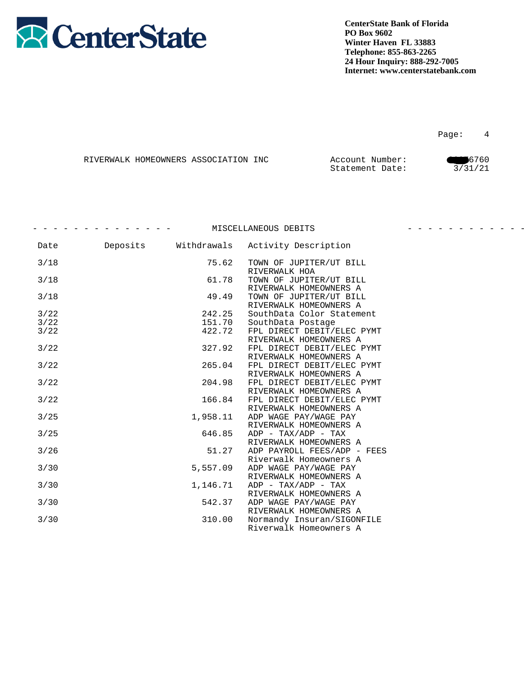

Page: 4

|  | RIVERWALK HOMEOWNERS ASSOCIATION INC | Account Number: | 6760    |
|--|--------------------------------------|-----------------|---------|
|  |                                      | Statement Date: | 3/31/21 |

|        |          |             | MISCELLANEOUS DEBITS                                                           |  |
|--------|----------|-------------|--------------------------------------------------------------------------------|--|
| Date   | Deposits | Withdrawals | Activity Description                                                           |  |
| 3/18   |          | 75.62       | TOWN OF JUPITER/UT BILL<br>RIVERWALK HOA                                       |  |
| 3/18   |          | 61.78       | TOWN OF JUPITER/UT BILL<br>RIVERWALK HOMEOWNERS A                              |  |
| 3/18   |          | 49.49       | TOWN OF JUPITER/UT BILL<br>RIVERWALK HOMEOWNERS A                              |  |
| 3/22   |          | 242.25      | SouthData Color Statement                                                      |  |
| 3/22   |          | 151.70      | SouthData Postage                                                              |  |
| 3/22   |          | 422.72      | FPL DIRECT DEBIT/ELEC PYMT<br>RIVERWALK HOMEOWNERS A                           |  |
| 3/22   |          | 327.92      | FPL DIRECT DEBIT/ELEC PYMT<br>RIVERWALK HOMEOWNERS A                           |  |
| 3/22   |          | 265.04      | FPL DIRECT DEBIT/ELEC PYMT                                                     |  |
| 3/22   |          | 204.98      | RIVERWALK HOMEOWNERS A<br>FPL DIRECT DEBIT/ELEC PYMT                           |  |
|        |          |             | RIVERWALK HOMEOWNERS A                                                         |  |
| 3/22   |          | 166.84      | FPL DIRECT DEBIT/ELEC PYMT<br>RIVERWALK HOMEOWNERS A                           |  |
| 3/25   |          | 1,958.11    | ADP WAGE PAY/WAGE PAY<br>RIVERWALK HOMEOWNERS A                                |  |
| 3/25   |          | 646.85      | $ADP - TAX/ADP - TAX$<br>RIVERWALK HOMEOWNERS A                                |  |
| $3/26$ |          | 51.27       | ADP PAYROLL FEES/ADP - FEES                                                    |  |
| 3/30   |          | 5,557.09    | Riverwalk Homeowners A<br>ADP WAGE PAY/WAGE PAY                                |  |
| 3/30   |          | 1,146.71    | RIVERWALK HOMEOWNERS A<br>$ADP - TAX/ADP - TAX$                                |  |
| 3/30   |          | 542.37      | RIVERWALK HOMEOWNERS A<br>ADP WAGE PAY/WAGE PAY                                |  |
| 3/30   |          | 310.00      | RIVERWALK HOMEOWNERS A<br>Normandy Insuran/SIGONFILE<br>Riverwalk Homeowners A |  |